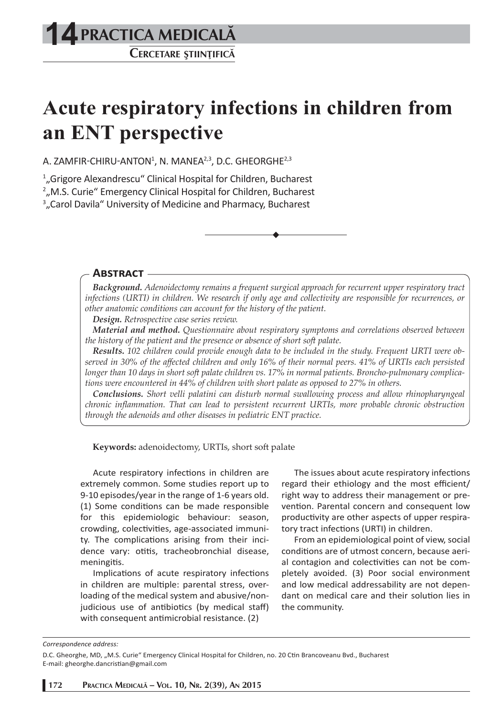# **PRACTICA MEDICALÅ 14**

**CERCETARE <sup>Ş</sup>TIINºIFICÅ**

## **Acute respiratory infections in children from an ENT perspective**

A. ZAMFIR-CHIRU-ANTON $^1$ , N. MANEA $^{2,3}$ , D.C. GHEORGHE $^{2,3}$ 

1 "Grigore Alexandrescu" Clinical Hospital for Children, Bucharest

2 "M.S. Curie" Emergency Clinical Hospital for Children, Bucharest

<sup>3</sup>"Carol Davila" University of Medicine and Pharmacy, Bucharest

#### **ABSTRACT**

*Background. Adenoidectomy remains a frequent surgical approach for recurrent upper respiratory tract infections (URTI) in children. We research if only age and collectivity are responsible for recurrences, or other anatomic conditions can account for the history of the patient.* 

*Design. Retrospective case series review.* 

*Material and method. Questionnaire about respiratory symptoms and correlations observed between the history of the patient and the presence or absence of short soft palate.*

*Results. 102 children could provide enough data to be included in the study. Frequent URTI were observed in 30% of the aff ected children and only 16% of their normal peers. 41% of URTIs each persisted longer than 10 days in short soft palate children vs. 17% in normal patients. Broncho-pulmonary complications were encountered in 44% of children with short palate as opposed to 27% in others.* 

*Conclusions. Short velli palatini can disturb normal swallowing process and allow rhinopharyngeal chronic infl ammation. That can lead to persistent recurrent URTIs, more probable chronic obstruction through the adenoids and other diseases in pediatric ENT practice.*

**Keywords:** adenoidectomy, URTIs, short soft palate

Acute respiratory infections in children are extremely common. Some studies report up to 9-10 episodes/year in the range of 1-6 years old. (1) Some conditions can be made responsible for this epidemiologic behaviour: season, crowding, colectivities, age-associated immunity. The complications arising from their incidence vary: otitis, tracheobronchial disease, meningitis.

Implications of acute respiratory infections in children are multiple: parental stress, overloading of the medical system and abusive/nonjudicious use of antibiotics (by medical staff) with consequent antimicrobial resistance. (2)

The issues about acute respiratory infections regard their ethiology and the most efficient/ right way to address their management or prevention. Parental concern and consequent low productivity are other aspects of upper respiratory tract infections (URTI) in children.

From an epidemiological point of view, social conditions are of utmost concern, because aerial contagion and colectivities can not be completely avoided. (3) Poor social environment and low medical addressability are not dependant on medical care and their solution lies in the community.

*Correspondence address:* 

D.C. Gheorghe, MD, "M.S. Curie" Emergency Clinical Hospital for Children, no. 20 Ctin Brancoveanu Bvd., Bucharest E-mail: gheorghe.dancristian@gmail.com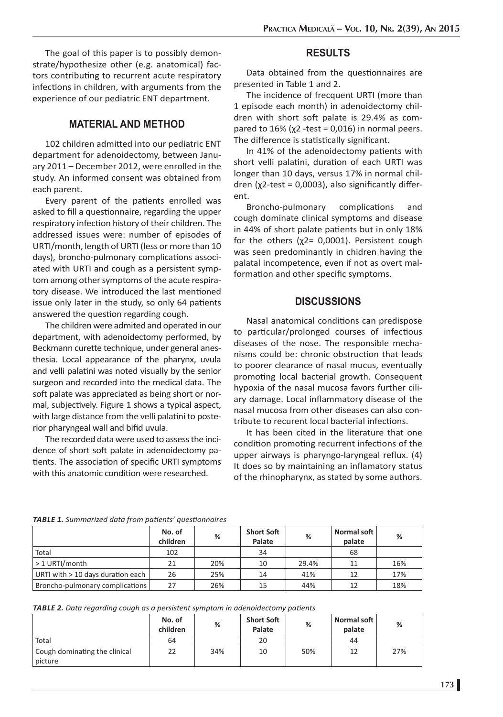The goal of this paper is to possibly demonstrate/hypothesize other (e.g. anatomical) factors contributing to recurrent acute respiratory infections in children, with arguments from the experience of our pediatric ENT department.

#### **MATERIAL AND METHOD**

102 children admitted into our pediatric ENT department for adenoidectomy, between January 2011 – December 2012, were enrolled in the study. An informed consent was obtained from each parent.

Every parent of the patients enrolled was asked to fill a questionnaire, regarding the upper respiratory infection history of their children. The addressed issues were: number of episodes of URTI/month, length of URTI (less or more than 10 days), broncho-pulmonary complications associated with URTI and cough as a persistent symptom among other symptoms of the acute respiratory disease. We introduced the last mentioned issue only later in the study, so only 64 patients answered the question regarding cough.

The children were admited and operated in our department, with adenoidectomy performed, by Beckmann curette technique, under general anesthesia. Local appearance of the pharynx, uvula and velli palatini was noted visually by the senior surgeon and recorded into the medical data. The soft palate was appreciated as being short or normal, subjectively. Figure 1 shows a typical aspect, with large distance from the velli palatini to posterior pharyngeal wall and bifid uvula.

The recorded data were used to assess the incidence of short soft palate in adenoidectomy patients. The association of specific URTI symptoms with this anatomic condition were researched.

#### **RESULTS**

Data obtained from the questionnaires are presented in Table 1 and 2.

The incidence of frecquent URTI (more than 1 episode each month) in adenoidectomy children with short soft palate is 29.4% as compared to  $16\%$  (χ2 -test = 0,016) in normal peers. The difference is statistically significant.

In 41% of the adenoidectomy patients with short velli palatini, duration of each URTI was longer than 10 days, versus 17% in normal children (χ2-test = 0,0003), also significantly different.

Broncho-pulmonary complications and cough dominate clinical symptoms and disease in 44% of short palate patients but in only 18% for the others  $(\chi2= 0,0001)$ . Persistent cough was seen predominantly in chidren having the palatal incompetence, even if not as overt malformation and other specific symptoms.

#### **DISCUSSIONS**

Nasal anatomical conditions can predispose to particular/prolonged courses of infectious diseases of the nose. The responsible mechanisms could be: chronic obstruction that leads to poorer clearance of nasal mucus, eventually promoting local bacterial growth. Consequent hypoxia of the nasal mucosa favors further ciliary damage. Local inflammatory disease of the nasal mucosa from other diseases can also contribute to recurent local bacterial infections.

It has been cited in the literature that one condition promoting recurrent infections of the upper airways is pharyngo-laryngeal reflux.  $(4)$ It does so by maintaining an inflamatory status of the rhinopharynx, as stated by some authors.

|  | TABLE 1. Summarized data from patients' questionnaires |
|--|--------------------------------------------------------|
|--|--------------------------------------------------------|

|                                     | No. of<br>children | %   | <b>Short Soft</b><br>Palate | %     | Normal soft<br>palate | %   |
|-------------------------------------|--------------------|-----|-----------------------------|-------|-----------------------|-----|
| Total                               | 102                |     | 34                          |       | 68                    |     |
| $>1$ URTI/month                     | 21                 | 20% | 10                          | 29.4% | 11                    | 16% |
| URTI with $> 10$ days duration each | 26                 | 25% | 14                          | 41%   | 12                    | 17% |
| Broncho-pulmonary complications     | 27                 | 26% | 15                          | 44%   |                       | 18% |

|                                          | No. of<br>children | %   | <b>Short Soft</b><br>Palate | %   | Normal soft<br>palate | %   |
|------------------------------------------|--------------------|-----|-----------------------------|-----|-----------------------|-----|
| Total                                    | 64                 |     | 20                          |     | 44                    |     |
| Cough dominating the clinical<br>picture | 22                 | 34% | 10                          | 50% | 12                    | 27% |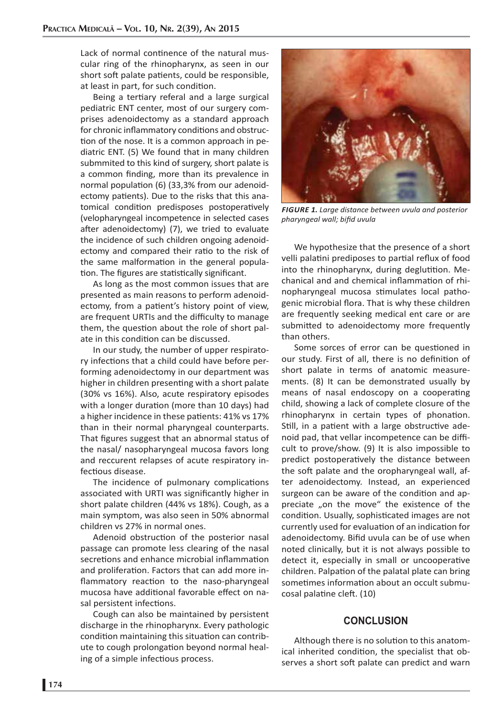Lack of normal continence of the natural muscular ring of the rhinopharynx, as seen in our short soft palate patients, could be responsible, at least in part, for such condition.

Being a tertiary referal and a large surgical pediatric ENT center, most of our surgery comprises adenoidectomy as a standard approach for chronic inflammatory conditions and obstruction of the nose. It is a common approach in pediatric ENT. (5) We found that in many children submmited to this kind of surgery, short palate is a common finding, more than its prevalence in normal population  $(6)$  (33,3% from our adenoidectomy patients). Due to the risks that this anatomical condition predisposes postoperatively (velopharyngeal incompetence in selected cases after adenoidectomy) (7), we tried to evaluate the incidence of such children ongoing adenoidectomy and compared their ratio to the risk of the same malformation in the general population. The figures are statistically significant.

As long as the most common issues that are presented as main reasons to perform adenoidectomy, from a patient's history point of view, are frequent URTIs and the difficulty to manage them, the question about the role of short palate in this condition can be discussed.

In our study, the number of upper respiratory infections that a child could have before performing adenoidectomy in our department was higher in children presenting with a short palate (30% vs 16%). Also, acute respiratory episodes with a longer duration (more than 10 days) had a higher incidence in these patients: 41% vs 17% than in their normal pharyngeal counterparts. That figures suggest that an abnormal status of the nasal/ nasopharyngeal mucosa favors long and reccurent relapses of acute respiratory infectious disease.

The incidence of pulmonary complications associated with URTI was significantly higher in short palate children (44% vs 18%). Cough, as a main symptom, was also seen in 50% abnormal children vs 27% in normal ones.

Adenoid obstruction of the posterior nasal passage can promote less clearing of the nasal secretions and enhance microbial inflammation and proliferation. Factors that can add more inflammatory reaction to the naso-pharyngeal mucosa have additional favorable effect on nasal persistent infections.

Cough can also be maintained by persistent discharge in the rhinopharynx. Every pathologic condition maintaining this situation can contribute to cough prolongation beyond normal healing of a simple infectious process.



*FIGURE 1. Large distance between uvula and posterior pharyngeal wall; bifid uvula* 

We hypothesize that the presence of a short velli palatini prediposes to partial reflux of food into the rhinopharynx, during deglutition. Mechanical and and chemical inflammation of rhinopharyngeal mucosa stimulates local pathogenic microbial flora. That is why these children are frequently seeking medical ent care or are submitted to adenoidectomy more frequently than others.

Some sorces of error can be questioned in our study. First of all, there is no definition of short palate in terms of anatomic measurements. (8) It can be demonstrated usually by means of nasal endoscopy on a cooperating child, showing a lack of complete closure of the rhinopharynx in certain types of phonation. Still, in a patient with a large obstructive adenoid pad, that vellar incompetence can be difficult to prove/show. (9) It is also impossible to predict postoperatively the distance between the soft palate and the oropharyngeal wall, after adenoidectomy. Instead, an experienced surgeon can be aware of the condition and appreciate "on the move" the existence of the condition. Usually, sophisticated images are not currently used for evaluation of an indication for adenoidectomy. Bifid uvula can be of use when noted clinically, but it is not always possible to detect it, especially in small or uncooperative children. Palpation of the palatal plate can bring sometimes information about an occult submucosal palatine cleft. (10)

#### **CONCLUSION**

Although there is no solution to this anatomical inherited condition, the specialist that observes a short soft palate can predict and warn